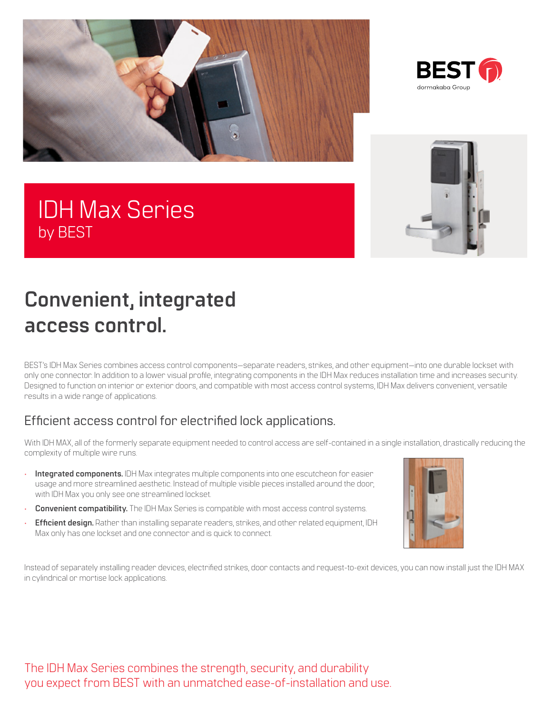



# IDH Max Series by BEST



# **Convenient, integrated access control.**

BEST's IDH Max Series combines access control components—separate readers, strikes, and other equipment—into one durable lockset with only one connector. In addition to a lower visual profile, integrating components in the IDH Max reduces installation time and increases security. Designed to function on interior or exterior doors, and compatible with most access control systems, IDH Max delivers convenient, versatile results in a wide range of applications.

## Efficient access control for electrified lock applications.

With IDH MAX, all of the formerly separate equipment needed to control access are self-contained in a single installation, drastically reducing the complexity of multiple wire runs.

- **Integrated components.** IDH Max integrates multiple components into one escutcheon for easier usage and more streamlined aesthetic. Instead of multiple visible pieces installed around the door, with IDH Max you only see one streamlined lockset.
- **Convenient compatibility.** The IDH Max Series is compatible with most access control systems.
- **Efficient design.** Rather than installing separate readers, strikes, and other related equipment, IDH Max only has one lockset and one connector and is quick to connect.



Instead of separately installing reader devices, electrified strikes, door contacts and request-to-exit devices, you can now install just the IDH MAX in cylindrical or mortise lock applications.

The IDH Max Series combines the strength, security, and durability you expect from BEST with an unmatched ease-of-installation and use.